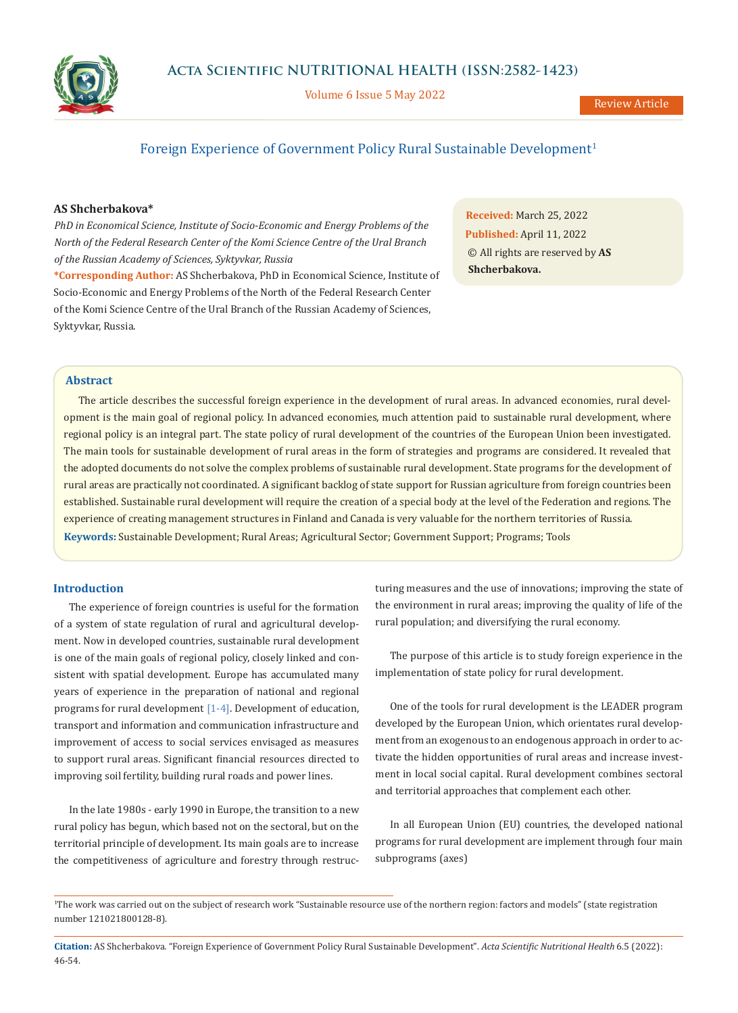

Volume 6 Issue 5 May 2022

# Foreign Experience of Government Policy Rural Sustainable Development<sup>1</sup>

### **AS Shcherbakova\***

*PhD in Economical Science, Institute of Socio-Economic and Energy Problems of the North of the Federal Research Center of the Komi Science Centre of the Ural Branch of the Russian Academy of Sciences, Syktyvkar, Russia*

**\*Corresponding Author:** AS Shcherbakova, PhD in Economical Science, Institute of Socio-Economic and Energy Problems of the North of the Federal Research Center of the Komi Science Centre of the Ural Branch of the Russian Academy of Sciences, Syktyvkar, Russia.

**Received:** March 25, 2022 **Published:** April 11, 2022 © All rights are reserved by **AS Shcherbakova.**

### **Abstract**

**Keywords:** Sustainable Development; Rural Areas; Agricultural Sector; Government Support; Programs; Tools The article describes the successful foreign experience in the development of rural areas. In advanced economies, rural development is the main goal of regional policy. In advanced economies, much attention paid to sustainable rural development, where regional policy is an integral part. The state policy of rural development of the countries of the European Union been investigated. The main tools for sustainable development of rural areas in the form of strategies and programs are considered. It revealed that the adopted documents do not solve the complex problems of sustainable rural development. State programs for the development of rural areas are practically not coordinated. A significant backlog of state support for Russian agriculture from foreign countries been established. Sustainable rural development will require the creation of a special body at the level of the Federation and regions. The experience of creating management structures in Finland and Canada is very valuable for the northern territories of Russia.

### **Introduction**

The experience of foreign countries is useful for the formation of a system of state regulation of rural and agricultural development. Now in developed countries, sustainable rural development is one of the main goals of regional policy, closely linked and consistent with spatial development. Europe has accumulated many years of experience in the preparation of national and regional programs for rural development [1-4]. Development of education, transport and information and communication infrastructure and improvement of access to social services envisaged as measures to support rural areas. Significant financial resources directed to improving soil fertility, building rural roads and power lines.

In the late 1980s - early 1990 in Europe, the transition to a new rural policy has begun, which based not on the sectoral, but on the territorial principle of development. Its main goals are to increase the competitiveness of agriculture and forestry through restructuring measures and the use of innovations; improving the state of the environment in rural areas; improving the quality of life of the rural population; and diversifying the rural economy.

The purpose of this article is to study foreign experience in the implementation of state policy for rural development.

One of the tools for rural development is the LEADER program developed by the European Union, which orientates rural development from an exogenous to an endogenous approach in order to activate the hidden opportunities of rural areas and increase investment in local social capital. Rural development combines sectoral and territorial approaches that complement each other.

In all European Union (EU) countries, the developed national programs for rural development are implement through four main subprograms (axes)

**Citation:** AS Shcherbakova*.* "Foreign Experience of Government Policy Rural Sustainable Development". *Acta Scientific Nutritional Health* 6.5 (2022): 46-54.

<sup>1</sup> The work was carried out on the subject of research work "Sustainable resource use of the northern region: factors and models" (state registration number 121021800128-8).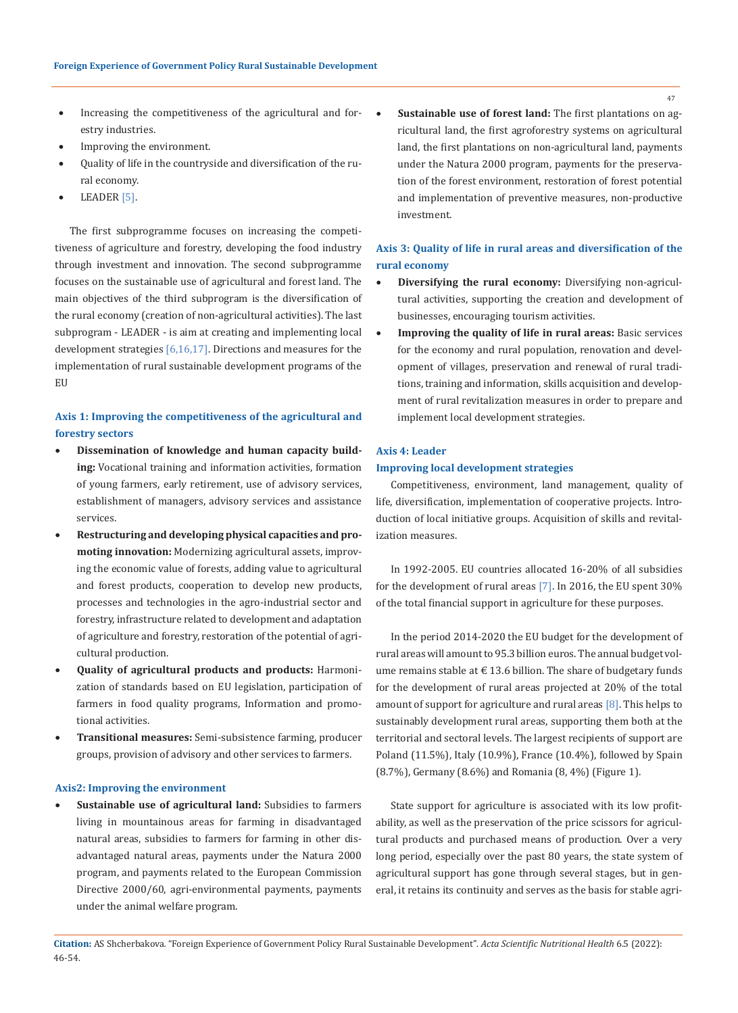- Increasing the competitiveness of the agricultural and for-  $\bullet$ estry industries.
- Improving the environment.
- Quality of life in the countryside and diversification of the rural economy.
- LEADER  $[5]$ .

The first subprogramme focuses on increasing the competitiveness of agriculture and forestry, developing the food industry through investment and innovation. The second subprogramme focuses on the sustainable use of agricultural and forest land. The main objectives of the third subprogram is the diversification of the rural economy (creation of non-agricultural activities). The last subprogram - LEADER - is aim at creating and implementing local development strategies [6,16,17]. Directions and measures for the implementation of rural sustainable development programs of the EU

## **Axis 1: Improving the competitiveness of the agricultural and forestry sectors**

- • **Dissemination of knowledge and human capacity building:** Vocational training and information activities, formation of young farmers, early retirement, use of advisory services, establishment of managers, advisory services and assistance services.
- Restructuring and developing physical capacities and pro**moting innovation:** Modernizing agricultural assets, improving the economic value of forests, adding value to agricultural and forest products, cooperation to develop new products, processes and technologies in the agro-industrial sector and forestry, infrastructure related to development and adaptation of agriculture and forestry, restoration of the potential of agricultural production.
- Quality of agricultural products and products: Harmonization of standards based on EU legislation, participation of farmers in food quality programs, Information and promotional activities.
- **Transitional measures:** Semi-subsistence farming, producer groups, provision of advisory and other services to farmers.

#### **Axis2: Improving the environment**

Sustainable use of agricultural land: Subsidies to farmers living in mountainous areas for farming in disadvantaged natural areas, subsidies to farmers for farming in other disadvantaged natural areas, payments under the Natura 2000 program, and payments related to the European Commission Directive 2000/60, agri-environmental payments, payments under the animal welfare program.

Sustainable use of forest land: The first plantations on agricultural land, the first agroforestry systems on agricultural land, the first plantations on non-agricultural land, payments under the Natura 2000 program, payments for the preservation of the forest environment, restoration of forest potential and implementation of preventive measures, non-productive investment.

### **Axis 3: Quality of life in rural areas and diversification of the rural economy**

- **Diversifying the rural economy:** Diversifying non-agricultural activities, supporting the creation and development of businesses, encouraging tourism activities.
- • **Improving the quality of life in rural areas:** Basic services for the economy and rural population, renovation and development of villages, preservation and renewal of rural traditions, training and information, skills acquisition and development of rural revitalization measures in order to prepare and implement local development strategies.

### **Axis 4: Leader**

### **Improving local development strategies**

Competitiveness, environment, land management, quality of life, diversification, implementation of cooperative projects. Introduction of local initiative groups. Acquisition of skills and revitalization measures.

In 1992-2005. EU countries allocated 16-20% of all subsidies for the development of rural areas [7]. In 2016, the EU spent 30% of the total financial support in agriculture for these purposes.

In the period 2014-2020 the EU budget for the development of rural areas will amount to 95.3 billion euros. The annual budget volume remains stable at  $\text{\ensuremath{\mathnormal{\in}}} 13.6$  billion. The share of budgetary funds for the development of rural areas projected at 20% of the total amount of support for agriculture and rural areas [8]. This helps to sustainably development rural areas, supporting them both at the territorial and sectoral levels. The largest recipients of support are Poland (11.5%), Italy (10.9%), France (10.4%), followed by Spain (8.7%), Germany (8.6%) and Romania (8, 4%) (Figure 1).

State support for agriculture is associated with its low profitability, as well as the preservation of the price scissors for agricultural products and purchased means of production. Over a very long period, especially over the past 80 years, the state system of agricultural support has gone through several stages, but in general, it retains its continuity and serves as the basis for stable agri-

**Citation:** AS Shcherbakova*.* "Foreign Experience of Government Policy Rural Sustainable Development". *Acta Scientific Nutritional Health* 6.5 (2022): 46-54.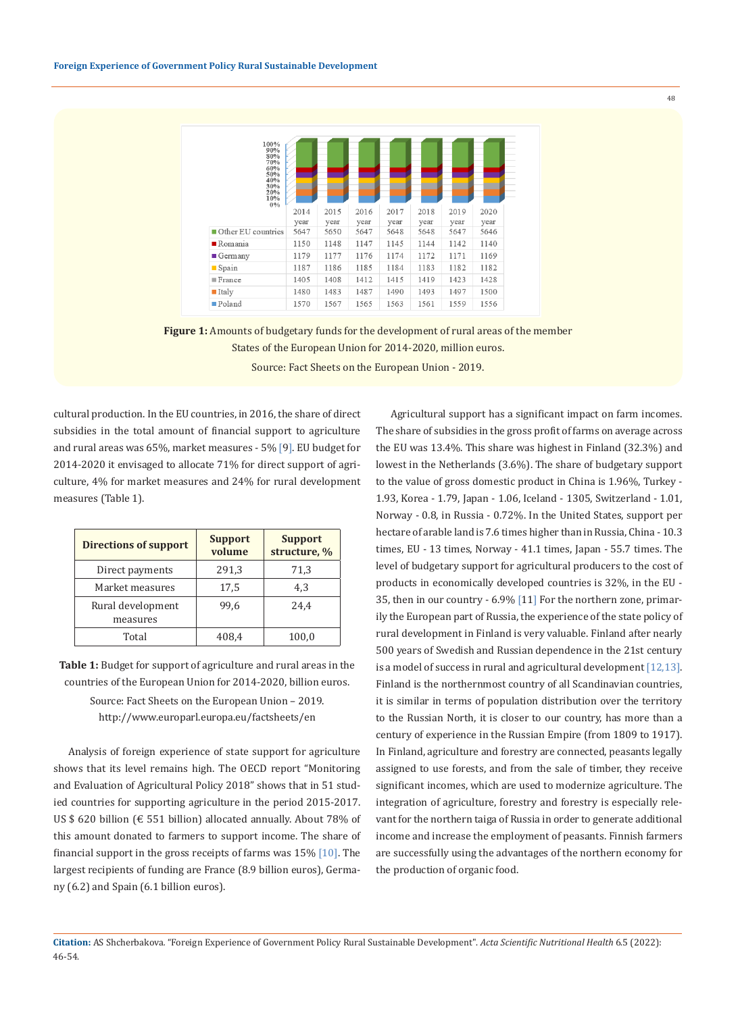

**Figure 1:** Amounts of budgetary funds for the development of rural areas of the member States of the European Union for 2014-2020, million euros. Source: Fact Sheets on the European Union - 2019.

cultural production. In the EU countries, in 2016, the share of direct subsidies in the total amount of financial support to agriculture and rural areas was 65%, market measures - 5% [9]. EU budget for 2014-2020 it envisaged to allocate 71% for direct support of agriculture, 4% for market measures and 24% for rural development measures (Table 1).

| <b>Directions of support</b>  | <b>Support</b><br>volume | <b>Support</b><br>structure, % |  |
|-------------------------------|--------------------------|--------------------------------|--|
| Direct payments               | 291,3                    | 71,3                           |  |
| Market measures               | 17,5                     | 4,3                            |  |
| Rural development<br>measures | 99.6                     | 24.4                           |  |
| Total                         | 408.4                    | 100,0                          |  |

**Table 1:** Budget for support of agriculture and rural areas in the countries of the European Union for 2014-2020, billion euros.

Source: Fact Sheets on the European Union – 2019. http://www.europarl.europa.eu/factsheets/en

Analysis of foreign experience of state support for agriculture shows that its level remains high. The OECD report "Monitoring and Evaluation of Agricultural Policy 2018" shows that in 51 studied countries for supporting agriculture in the period 2015-2017. US \$ 620 billion ( $\epsilon$  551 billion) allocated annually. About 78% of this amount donated to farmers to support income. The share of financial support in the gross receipts of farms was  $15\%$  [10]. The largest recipients of funding are France (8.9 billion euros), Germany (6.2) and Spain (6.1 billion euros).

Agricultural support has a significant impact on farm incomes. The share of subsidies in the gross profit of farms on average across the EU was 13.4%. This share was highest in Finland (32.3%) and lowest in the Netherlands (3.6%). The share of budgetary support to the value of gross domestic product in China is 1.96%, Turkey - 1.93, Korea - 1.79, Japan - 1.06, Iceland - 1305, Switzerland - 1.01, Norway - 0.8, in Russia - 0.72%. In the United States, support per hectare of arable land is 7.6 times higher than in Russia, China - 10.3 times, EU - 13 times, Norway - 41.1 times, Japan - 55.7 times. The level of budgetary support for agricultural producers to the cost of products in economically developed countries is 32%, in the EU - 35, then in our country - 6.9% [11] For the northern zone, primarily the European part of Russia, the experience of the state policy of rural development in Finland is very valuable. Finland after nearly 500 years of Swedish and Russian dependence in the 21st century is a model of success in rural and agricultural development [12,13]. Finland is the northernmost country of all Scandinavian countries, it is similar in terms of population distribution over the territory to the Russian North, it is closer to our country, has more than a century of experience in the Russian Empire (from 1809 to 1917). In Finland, agriculture and forestry are connected, peasants legally assigned to use forests, and from the sale of timber, they receive significant incomes, which are used to modernize agriculture. The integration of agriculture, forestry and forestry is especially relevant for the northern taiga of Russia in order to generate additional income and increase the employment of peasants. Finnish farmers are successfully using the advantages of the northern economy for the production of organic food.

**Citation:** AS Shcherbakova*.* "Foreign Experience of Government Policy Rural Sustainable Development". *Acta Scientific Nutritional Health* 6.5 (2022): 46-54.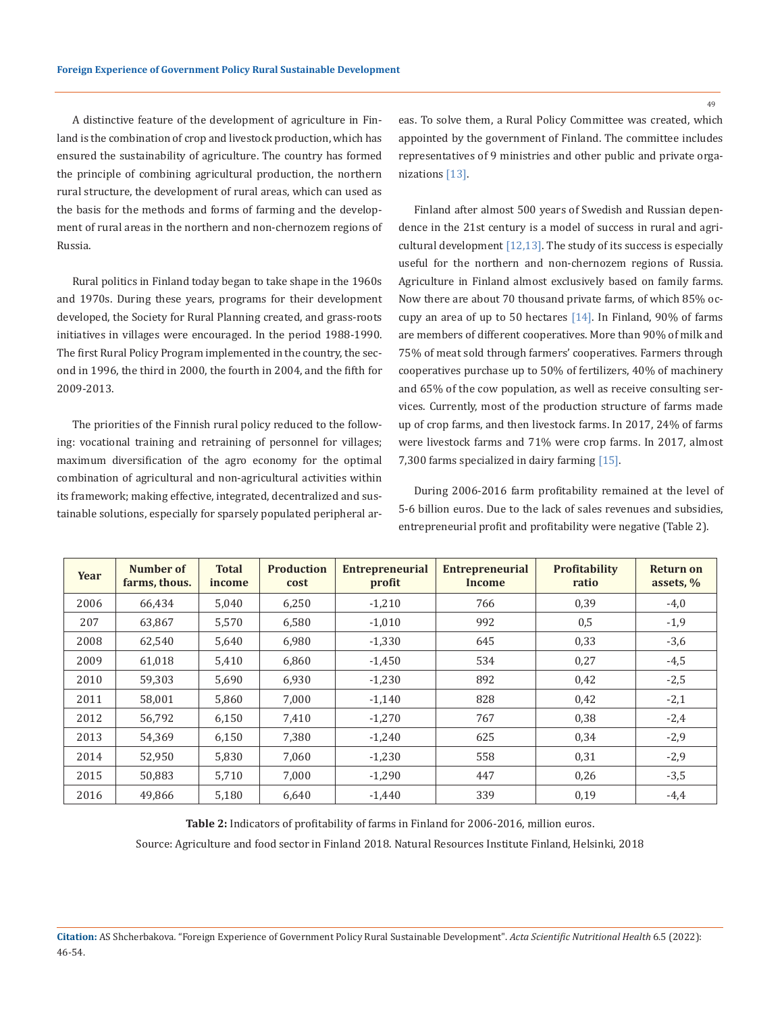A distinctive feature of the development of agriculture in Finland is the combination of crop and livestock production, which has ensured the sustainability of agriculture. The country has formed the principle of combining agricultural production, the northern rural structure, the development of rural areas, which can used as the basis for the methods and forms of farming and the development of rural areas in the northern and non-chernozem regions of Russia.

Rural politics in Finland today began to take shape in the 1960s and 1970s. During these years, programs for their development developed, the Society for Rural Planning created, and grass-roots initiatives in villages were encouraged. In the period 1988-1990. The first Rural Policy Program implemented in the country, the second in 1996, the third in 2000, the fourth in 2004, and the fifth for 2009-2013.

The priorities of the Finnish rural policy reduced to the following: vocational training and retraining of personnel for villages; maximum diversification of the agro economy for the optimal combination of agricultural and non-agricultural activities within its framework; making effective, integrated, decentralized and sustainable solutions, especially for sparsely populated peripheral areas. To solve them, a Rural Policy Committee was created, which appointed by the government of Finland. The committee includes representatives of 9 ministries and other public and private organizations [13].

Finland after almost 500 years of Swedish and Russian dependence in the 21st century is a model of success in rural and agricultural development  $[12,13]$ . The study of its success is especially useful for the northern and non-chernozem regions of Russia. Agriculture in Finland almost exclusively based on family farms. Now there are about 70 thousand private farms, of which 85% occupy an area of up to 50 hectares [14]. In Finland, 90% of farms are members of different cooperatives. More than 90% of milk and 75% of meat sold through farmers' cooperatives. Farmers through cooperatives purchase up to 50% of fertilizers, 40% of machinery and 65% of the cow population, as well as receive consulting services. Currently, most of the production structure of farms made up of crop farms, and then livestock farms. In 2017, 24% of farms were livestock farms and 71% were crop farms. In 2017, almost 7,300 farms specialized in dairy farming [15].

During 2006-2016 farm profitability remained at the level of 5-6 billion euros. Due to the lack of sales revenues and subsidies, entrepreneurial profit and profitability were negative (Table 2).

| Year | Number of<br>farms, thous. | <b>Total</b><br>income | <b>Production</b><br>cost | <b>Entrepreneurial</b><br>profit | <b>Entrepreneurial</b><br>Income | Profitability<br>ratio | <b>Return on</b><br>assets, % |
|------|----------------------------|------------------------|---------------------------|----------------------------------|----------------------------------|------------------------|-------------------------------|
| 2006 | 66.434                     | 5,040                  | 6.250                     | $-1.210$                         | 766                              | 0,39                   | $-4,0$                        |
| 207  | 63,867                     | 5,570                  | 6,580                     | $-1,010$                         | 992                              | 0,5                    | $-1,9$                        |
| 2008 | 62,540                     | 5,640                  | 6,980                     | $-1,330$                         | 645                              | 0,33                   | $-3,6$                        |
| 2009 | 61,018                     | 5,410                  | 6.860                     | $-1,450$                         | 534                              | 0,27                   | $-4,5$                        |
| 2010 | 59,303                     | 5,690                  | 6,930                     | $-1,230$                         | 892                              | 0,42                   | $-2,5$                        |
| 2011 | 58,001                     | 5,860                  | 7,000                     | $-1,140$                         | 828                              | 0,42                   | $-2,1$                        |
| 2012 | 56.792                     | 6,150                  | 7,410                     | $-1,270$                         | 767                              | 0,38                   | $-2,4$                        |
| 2013 | 54,369                     | 6,150                  | 7,380                     | $-1,240$                         | 625                              | 0,34                   | $-2,9$                        |
| 2014 | 52,950                     | 5,830                  | 7,060                     | $-1,230$                         | 558                              | 0,31                   | $-2,9$                        |
| 2015 | 50.883                     | 5.710                  | 7.000                     | $-1.290$                         | 447                              | 0,26                   | $-3,5$                        |
| 2016 | 49,866                     | 5,180                  | 6,640                     | $-1,440$                         | 339                              | 0,19                   | $-4,4$                        |

**Table 2:** Indicators of profitability of farms in Finland for 2006-2016, million euros.

Source: Agriculture and food sector in Finland 2018. Natural Resources Institute Finland, Helsinki, 2018

**Citation:** AS Shcherbakova*.* "Foreign Experience of Government Policy Rural Sustainable Development". *Acta Scientific Nutritional Health* 6.5 (2022): 46-54.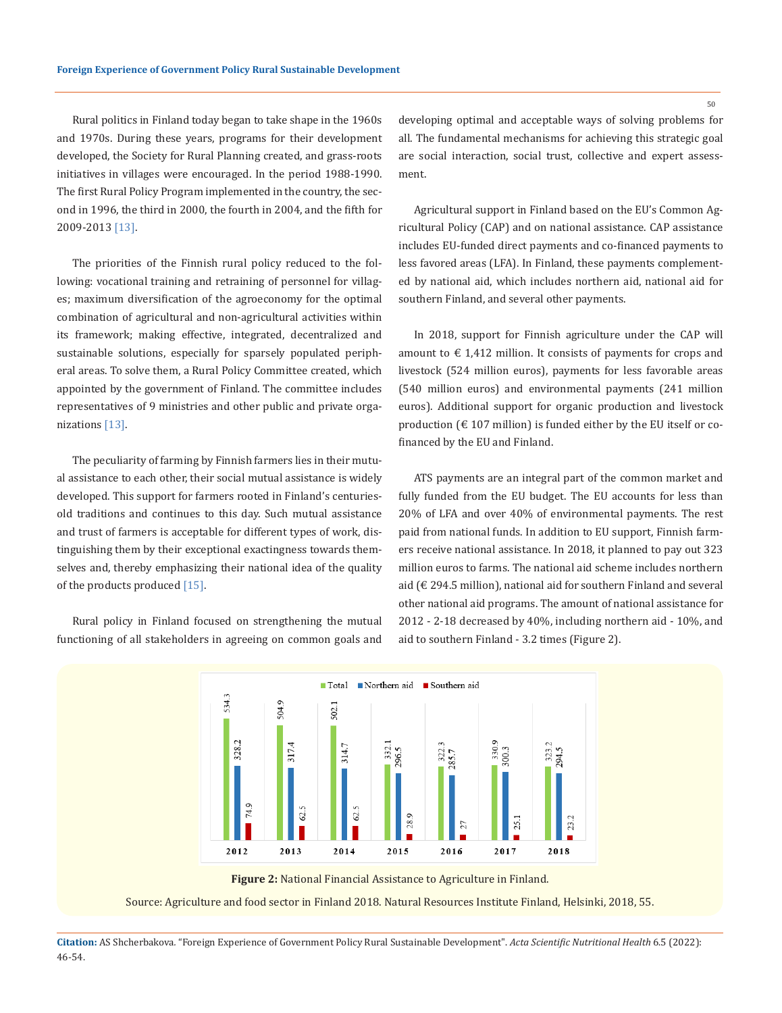Rural politics in Finland today began to take shape in the 1960s and 1970s. During these years, programs for their development developed, the Society for Rural Planning created, and grass-roots initiatives in villages were encouraged. In the period 1988-1990. The first Rural Policy Program implemented in the country, the second in 1996, the third in 2000, the fourth in 2004, and the fifth for 2009-2013 [13].

The priorities of the Finnish rural policy reduced to the following: vocational training and retraining of personnel for villages; maximum diversification of the agroeconomy for the optimal combination of agricultural and non-agricultural activities within its framework; making effective, integrated, decentralized and sustainable solutions, especially for sparsely populated peripheral areas. To solve them, a Rural Policy Committee created, which appointed by the government of Finland. The committee includes representatives of 9 ministries and other public and private organizations [13].

The peculiarity of farming by Finnish farmers lies in their mutual assistance to each other, their social mutual assistance is widely developed. This support for farmers rooted in Finland's centuriesold traditions and continues to this day. Such mutual assistance and trust of farmers is acceptable for different types of work, distinguishing them by their exceptional exactingness towards themselves and, thereby emphasizing their national idea of the quality of the products produced [15].

Rural policy in Finland focused on strengthening the mutual functioning of all stakeholders in agreeing on common goals and developing optimal and acceptable ways of solving problems for all. The fundamental mechanisms for achieving this strategic goal are social interaction, social trust, collective and expert assessment.

Agricultural support in Finland based on the EU's Common Agricultural Policy (CAP) and on national assistance. CAP assistance includes EU-funded direct payments and co-financed payments to less favored areas (LFA). In Finland, these payments complemented by national aid, which includes northern aid, national aid for southern Finland, and several other payments.

In 2018, support for Finnish agriculture under the CAP will amount to  $\epsilon$  1,412 million. It consists of payments for crops and livestock (524 million euros), payments for less favorable areas (540 million euros) and environmental payments (241 million euros). Additional support for organic production and livestock production ( $\epsilon$  107 million) is funded either by the EU itself or cofinanced by the EU and Finland.

ATS payments are an integral part of the common market and fully funded from the EU budget. The EU accounts for less than 20% of LFA and over 40% of environmental payments. The rest paid from national funds. In addition to EU support, Finnish farmers receive national assistance. In 2018, it planned to pay out 323 million euros to farms. The national aid scheme includes northern aid (€ 294.5 million), national aid for southern Finland and several other national aid programs. The amount of national assistance for 2012 - 2-18 decreased by 40%, including northern aid - 10%, and aid to southern Finland - 3.2 times (Figure 2).



**Figure 2:** National Financial Assistance to Agriculture in Finland.

Source: Agriculture and food sector in Finland 2018. Natural Resources Institute Finland, Helsinki, 2018, 55.

**Citation:** AS Shcherbakova*.* "Foreign Experience of Government Policy Rural Sustainable Development". *Acta Scientific Nutritional Health* 6.5 (2022): 46-54.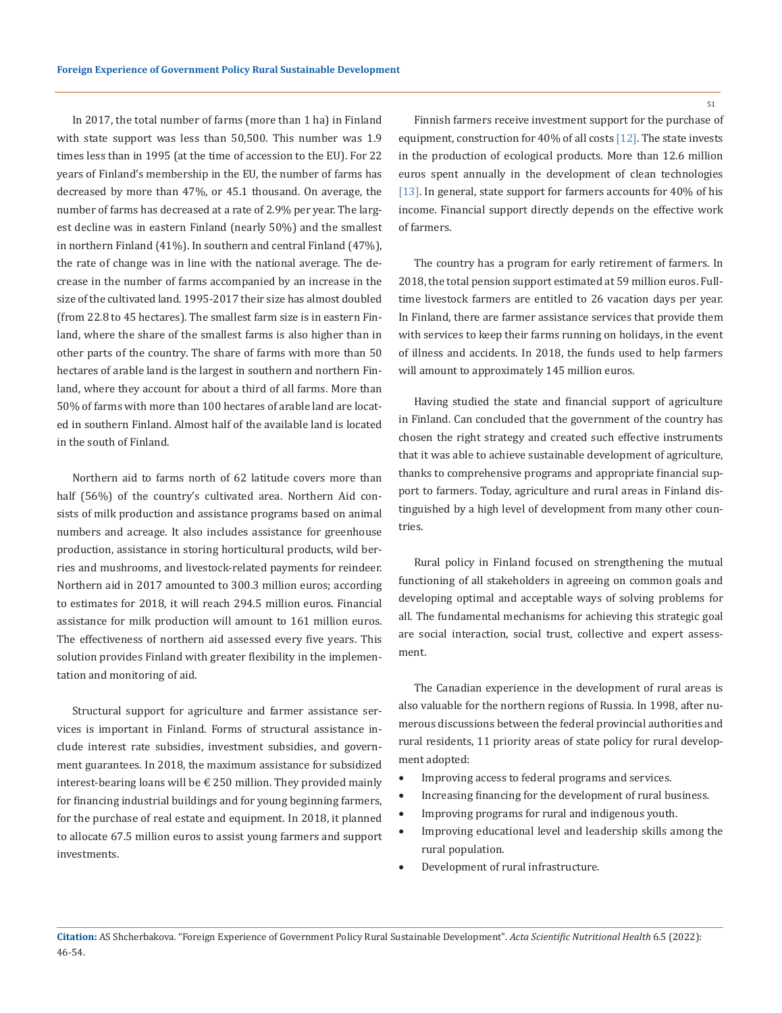In 2017, the total number of farms (more than 1 ha) in Finland with state support was less than 50,500. This number was 1.9 times less than in 1995 (at the time of accession to the EU). For 22 years of Finland's membership in the EU, the number of farms has decreased by more than 47%, or 45.1 thousand. On average, the number of farms has decreased at a rate of 2.9% per year. The largest decline was in eastern Finland (nearly 50%) and the smallest in northern Finland (41%). In southern and central Finland (47%), the rate of change was in line with the national average. The decrease in the number of farms accompanied by an increase in the size of the cultivated land. 1995-2017 their size has almost doubled (from 22.8 to 45 hectares). The smallest farm size is in eastern Finland, where the share of the smallest farms is also higher than in other parts of the country. The share of farms with more than 50 hectares of arable land is the largest in southern and northern Finland, where they account for about a third of all farms. More than 50% of farms with more than 100 hectares of arable land are located in southern Finland. Almost half of the available land is located in the south of Finland.

Northern aid to farms north of 62 latitude covers more than half (56%) of the country's cultivated area. Northern Aid consists of milk production and assistance programs based on animal numbers and acreage. It also includes assistance for greenhouse production, assistance in storing horticultural products, wild berries and mushrooms, and livestock-related payments for reindeer. Northern aid in 2017 amounted to 300.3 million euros; according to estimates for 2018, it will reach 294.5 million euros. Financial assistance for milk production will amount to 161 million euros. The effectiveness of northern aid assessed every five years. This solution provides Finland with greater flexibility in the implementation and monitoring of aid.

Structural support for agriculture and farmer assistance services is important in Finland. Forms of structural assistance include interest rate subsidies, investment subsidies, and government guarantees. In 2018, the maximum assistance for subsidized interest-bearing loans will be  $\epsilon$  250 million. They provided mainly for financing industrial buildings and for young beginning farmers, for the purchase of real estate and equipment. In 2018, it planned to allocate 67.5 million euros to assist young farmers and support investments.

Finnish farmers receive investment support for the purchase of equipment, construction for 40% of all costs [12]. The state invests in the production of ecological products. More than 12.6 million euros spent annually in the development of clean technologies [13]. In general, state support for farmers accounts for 40% of his income. Financial support directly depends on the effective work of farmers.

The country has a program for early retirement of farmers. In 2018, the total pension support estimated at 59 million euros. Fulltime livestock farmers are entitled to 26 vacation days per year. In Finland, there are farmer assistance services that provide them with services to keep their farms running on holidays, in the event of illness and accidents. In 2018, the funds used to help farmers will amount to approximately 145 million euros.

Having studied the state and financial support of agriculture in Finland. Can concluded that the government of the country has chosen the right strategy and created such effective instruments that it was able to achieve sustainable development of agriculture, thanks to comprehensive programs and appropriate financial support to farmers. Today, agriculture and rural areas in Finland distinguished by a high level of development from many other countries.

Rural policy in Finland focused on strengthening the mutual functioning of all stakeholders in agreeing on common goals and developing optimal and acceptable ways of solving problems for all. The fundamental mechanisms for achieving this strategic goal are social interaction, social trust, collective and expert assessment.

The Canadian experience in the development of rural areas is also valuable for the northern regions of Russia. In 1998, after numerous discussions between the federal provincial authorities and rural residents, 11 priority areas of state policy for rural development adopted:

- • Improving access to federal programs and services.
- Increasing financing for the development of rural business.
- Improving programs for rural and indigenous youth.
- • Improving educational level and leadership skills among the rural population.
- Development of rural infrastructure.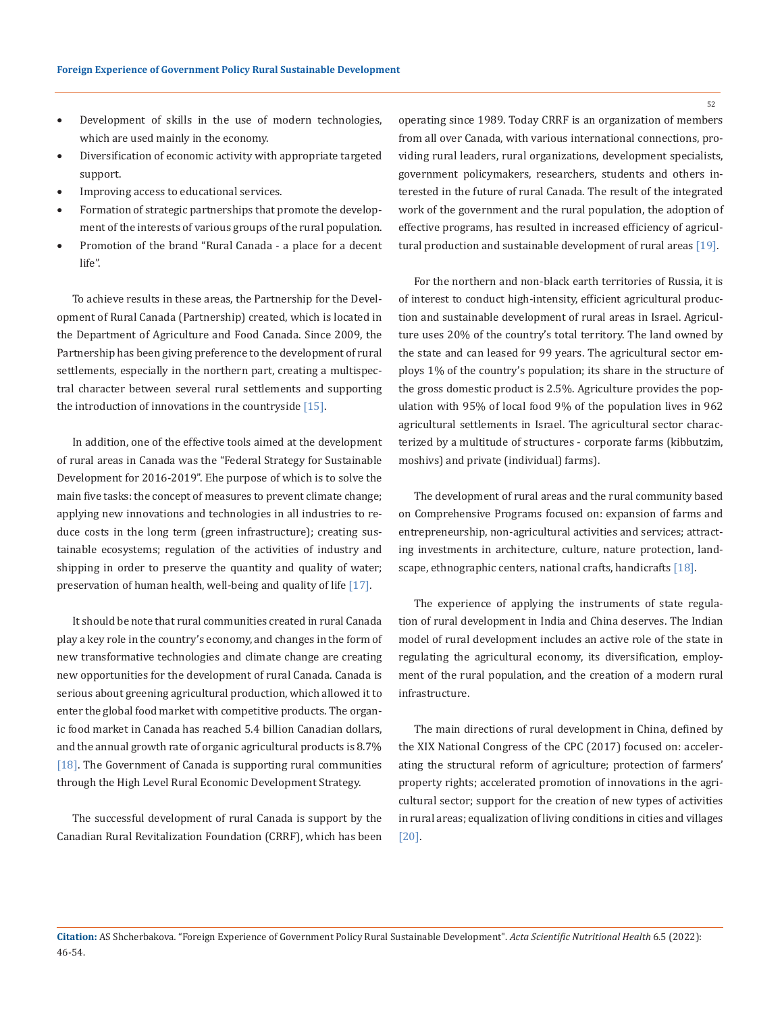- • Development of skills in the use of modern technologies, which are used mainly in the economy.
- • Diversification of economic activity with appropriate targeted support.
- Improving access to educational services.
- Formation of strategic partnerships that promote the development of the interests of various groups of the rural population.
- Promotion of the brand "Rural Canada a place for a decent life".

To achieve results in these areas, the Partnership for the Development of Rural Canada (Partnership) created, which is located in the Department of Agriculture and Food Canada. Since 2009, the Partnership has been giving preference to the development of rural settlements, especially in the northern part, creating a multispectral character between several rural settlements and supporting the introduction of innovations in the countryside [15].

In addition, one of the effective tools aimed at the development of rural areas in Canada was the "Federal Strategy for Sustainable Development for 2016-2019". Еhe purpose of which is to solve the main five tasks: the concept of measures to prevent climate change; applying new innovations and technologies in all industries to reduce costs in the long term (green infrastructure); creating sustainable ecosystems; regulation of the activities of industry and shipping in order to preserve the quantity and quality of water; preservation of human health, well-being and quality of life [17].

It should be note that rural communities created in rural Canada play a key role in the country's economy, and changes in the form of new transformative technologies and climate change are creating new opportunities for the development of rural Canada. Canada is serious about greening agricultural production, which allowed it to enter the global food market with competitive products. The organic food market in Canada has reached 5.4 billion Canadian dollars, and the annual growth rate of organic agricultural products is 8.7% [18]. The Government of Canada is supporting rural communities through the High Level Rural Economic Development Strategy.

The successful development of rural Canada is support by the Canadian Rural Revitalization Foundation (CRRF), which has been operating since 1989. Today CRRF is an organization of members from all over Canada, with various international connections, providing rural leaders, rural organizations, development specialists, government policymakers, researchers, students and others interested in the future of rural Canada. The result of the integrated work of the government and the rural population, the adoption of effective programs, has resulted in increased efficiency of agricultural production and sustainable development of rural areas [19].

For the northern and non-black earth territories of Russia, it is of interest to conduct high-intensity, efficient agricultural production and sustainable development of rural areas in Israel. Agriculture uses 20% of the country's total territory. The land owned by the state and can leased for 99 years. The agricultural sector employs 1% of the country's population; its share in the structure of the gross domestic product is 2.5%. Agriculture provides the population with 95% of local food 9% of the population lives in 962 agricultural settlements in Israel. The agricultural sector characterized by a multitude of structures - corporate farms (kibbutzim, moshivs) and private (individual) farms).

The development of rural areas and the rural community based on Comprehensive Programs focused on: expansion of farms and entrepreneurship, non-agricultural activities and services; attracting investments in architecture, culture, nature protection, landscape, ethnographic centers, national crafts, handicrafts [18].

The experience of applying the instruments of state regulation of rural development in India and China deserves. The Indian model of rural development includes an active role of the state in regulating the agricultural economy, its diversification, employment of the rural population, and the creation of a modern rural infrastructure.

The main directions of rural development in China, defined by the XIX National Congress of the CPC (2017) focused on: accelerating the structural reform of agriculture; protection of farmers' property rights; accelerated promotion of innovations in the agricultural sector; support for the creation of new types of activities in rural areas; equalization of living conditions in cities and villages [20].

**Citation:** AS Shcherbakova*.* "Foreign Experience of Government Policy Rural Sustainable Development". *Acta Scientific Nutritional Health* 6.5 (2022): 46-54.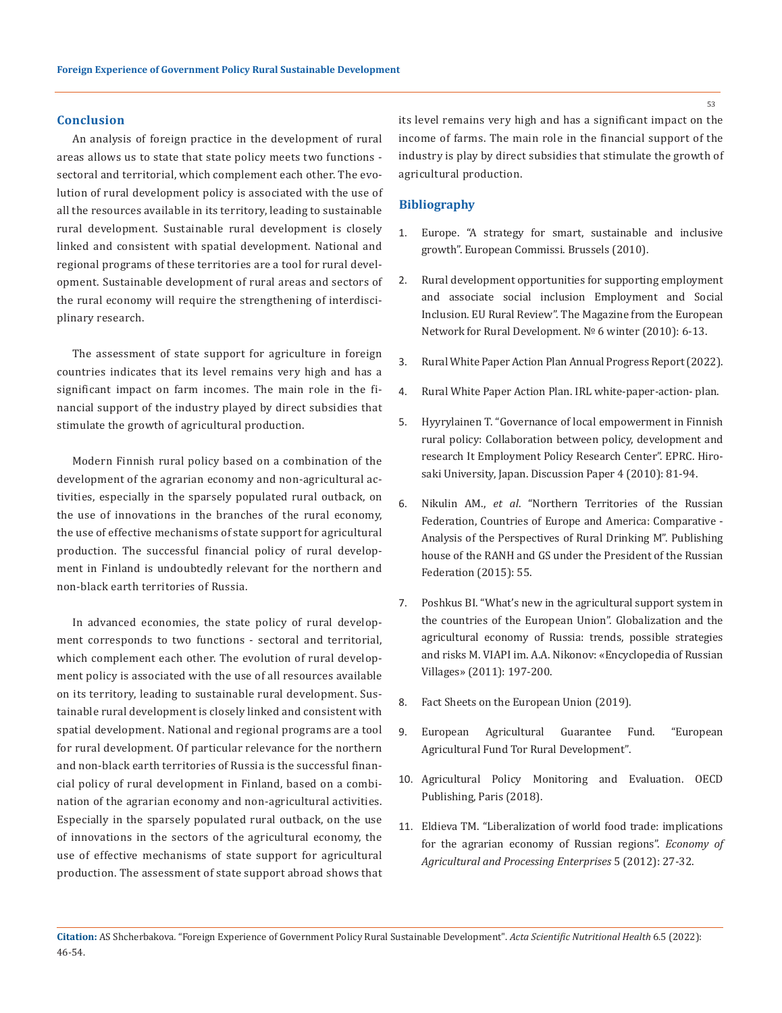### **Conclusion**

An analysis of foreign practice in the development of rural areas allows us to state that state policy meets two functions sectoral and territorial, which complement each other. The evolution of rural development policy is associated with the use of all the resources available in its territory, leading to sustainable rural development. Sustainable rural development is closely linked and consistent with spatial development. National and regional programs of these territories are a tool for rural development. Sustainable development of rural areas and sectors of the rural economy will require the strengthening of interdisciplinary research.

The assessment of state support for agriculture in foreign countries indicates that its level remains very high and has a significant impact on farm incomes. The main role in the financial support of the industry played by direct subsidies that stimulate the growth of agricultural production.

Modern Finnish rural policy based on a combination of the development of the agrarian economy and non-agricultural activities, especially in the sparsely populated rural outback, on the use of innovations in the branches of the rural economy, the use of effective mechanisms of state support for agricultural production. The successful financial policy of rural development in Finland is undoubtedly relevant for the northern and non-black earth territories of Russia.

In advanced economies, the state policy of rural development corresponds to two functions - sectoral and territorial, which complement each other. The evolution of rural development policy is associated with the use of all resources available on its territory, leading to sustainable rural development. Sustainable rural development is closely linked and consistent with spatial development. National and regional programs are a tool for rural development. Of particular relevance for the northern and non-black earth territories of Russia is the successful financial policy of rural development in Finland, based on a combination of the agrarian economy and non-agricultural activities. Especially in the sparsely populated rural outback, on the use of innovations in the sectors of the agricultural economy, the use of effective mechanisms of state support for agricultural production. The assessment of state support abroad shows that

its level remains very high and has a significant impact on the income of farms. The main role in the financial support of the industry is play by direct subsidies that stimulate the growth of agricultural production.

### **Bibliography**

- 1. [Europe. "A strategy for smart, sustainable and inclusive](https://sustainabledevelopment.un.org/index.php?page=view&type=99&nr=16&menu=1449)  [growth". European Commissi. Brussels \(2010\).](https://sustainabledevelopment.un.org/index.php?page=view&type=99&nr=16&menu=1449)
- 2. Rural development opportunities for supporting employment and associate social inclusion Employment and Social Inclusion. EU Rural Review". The Magazine from the European Network for Rural Development. № 6 winter (2010): 6-13.
- 3. Rural White Paper Action Plan Annual Progress Report (2022).
- 4. [Rural White Paper Action Plan. IRL white-paper-action- plan.](https://www.daera-ni.gov.uk/topics/rural-development/rural-white-paper-action-plan)
- 5. [Hyyrylainen T. "Governance of local empowerment in Finnish](https://researchportal.helsinki.fi/sv/publications/governance-of-local-empowerment-in-finnish-rural-policy-collabora)  [rural policy: Collaboration between policy, development and](https://researchportal.helsinki.fi/sv/publications/governance-of-local-empowerment-in-finnish-rural-policy-collabora)  [research It Employment Policy Research Center". EPRC. Hiro](https://researchportal.helsinki.fi/sv/publications/governance-of-local-empowerment-in-finnish-rural-policy-collabora)[saki University, Japan. Discussion Paper 4 \(2010\): 81-94.](https://researchportal.helsinki.fi/sv/publications/governance-of-local-empowerment-in-finnish-rural-policy-collabora)
- 6. Nikulin AM., *et al*. "Northern Territories of the Russian Federation, Countries of Europe and America: Comparative - Analysis of the Perspectives of Rural Drinking M". Publishing house of the RANH and GS under the President of the Russian Federation (2015): 55.
- 7. Poshkus BI. "What's new in the agricultural support system in the countries of the European Union". Globalization and the agricultural economy of Russia: trends, possible strategies and risks M. VIAPI im. A.A. Nikonov: «Encyclopedia of Russian Villages» (2011): 197-200.
- 8. [Fact Sheets on the European Union \(2019\)](https://www.europarl.europa.eu/factsheets/en/home).
- 9. European Agricultural Guarantee Fund. "European Agricultural Fund Tor Rural Development".
- 10. Agricultural Policy Monitoring and Evaluation. OECD Publishing, Paris (2018).
- 11. Eldieva TM. "Liberalization of world food trade: implications for the agrarian economy of Russian regions". *Economy of Agricultural and Processing Enterprises* 5 (2012): 27-32.

**Citation:** AS Shcherbakova*.* "Foreign Experience of Government Policy Rural Sustainable Development". *Acta Scientific Nutritional Health* 6.5 (2022): 46-54.